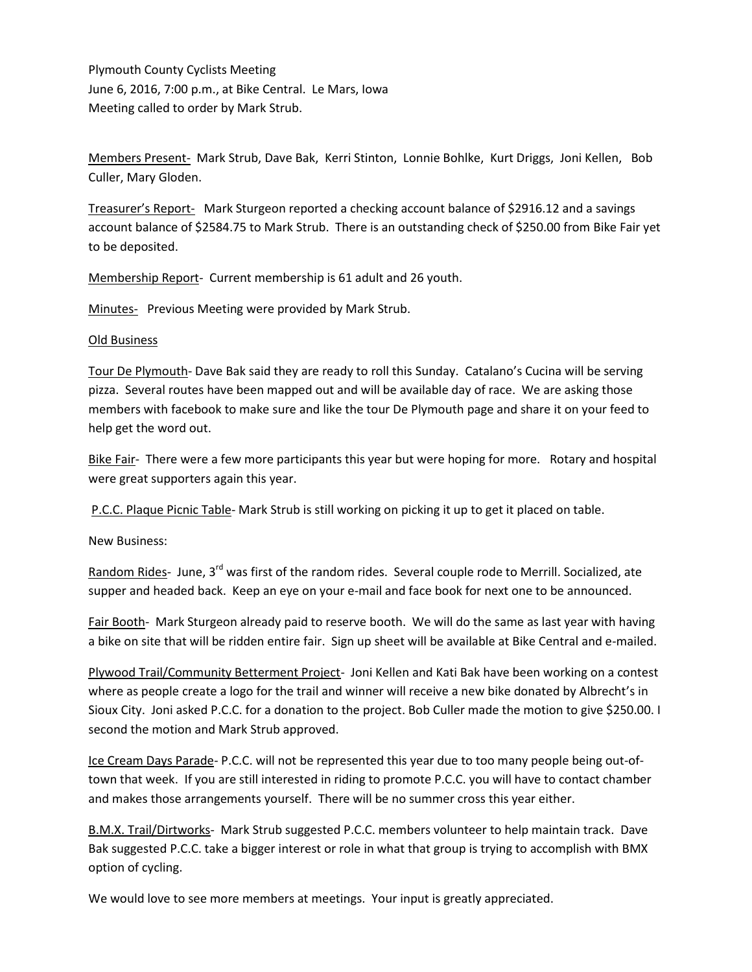Plymouth County Cyclists Meeting June 6, 2016, 7:00 p.m., at Bike Central. Le Mars, Iowa Meeting called to order by Mark Strub.

Members Present- Mark Strub, Dave Bak, Kerri Stinton, Lonnie Bohlke, Kurt Driggs, Joni Kellen, Bob Culler, Mary Gloden.

Treasurer's Report- Mark Sturgeon reported a checking account balance of \$2916.12 and a savings account balance of \$2584.75 to Mark Strub. There is an outstanding check of \$250.00 from Bike Fair yet to be deposited.

Membership Report- Current membership is 61 adult and 26 youth.

Minutes- Previous Meeting were provided by Mark Strub.

## Old Business

Tour De Plymouth- Dave Bak said they are ready to roll this Sunday. Catalano's Cucina will be serving pizza. Several routes have been mapped out and will be available day of race. We are asking those members with facebook to make sure and like the tour De Plymouth page and share it on your feed to help get the word out.

Bike Fair- There were a few more participants this year but were hoping for more. Rotary and hospital were great supporters again this year.

P.C.C. Plaque Picnic Table- Mark Strub is still working on picking it up to get it placed on table.

New Business:

Random Rides- June, 3<sup>rd</sup> was first of the random rides. Several couple rode to Merrill. Socialized, ate supper and headed back. Keep an eye on your e-mail and face book for next one to be announced.

Fair Booth- Mark Sturgeon already paid to reserve booth. We will do the same as last year with having a bike on site that will be ridden entire fair. Sign up sheet will be available at Bike Central and e-mailed.

Plywood Trail/Community Betterment Project- Joni Kellen and Kati Bak have been working on a contest where as people create a logo for the trail and winner will receive a new bike donated by Albrecht's in Sioux City. Joni asked P.C.C. for a donation to the project. Bob Culler made the motion to give \$250.00. I second the motion and Mark Strub approved.

Ice Cream Days Parade- P.C.C. will not be represented this year due to too many people being out-oftown that week. If you are still interested in riding to promote P.C.C. you will have to contact chamber and makes those arrangements yourself. There will be no summer cross this year either.

B.M.X. Trail/Dirtworks- Mark Strub suggested P.C.C. members volunteer to help maintain track. Dave Bak suggested P.C.C. take a bigger interest or role in what that group is trying to accomplish with BMX option of cycling.

We would love to see more members at meetings. Your input is greatly appreciated.